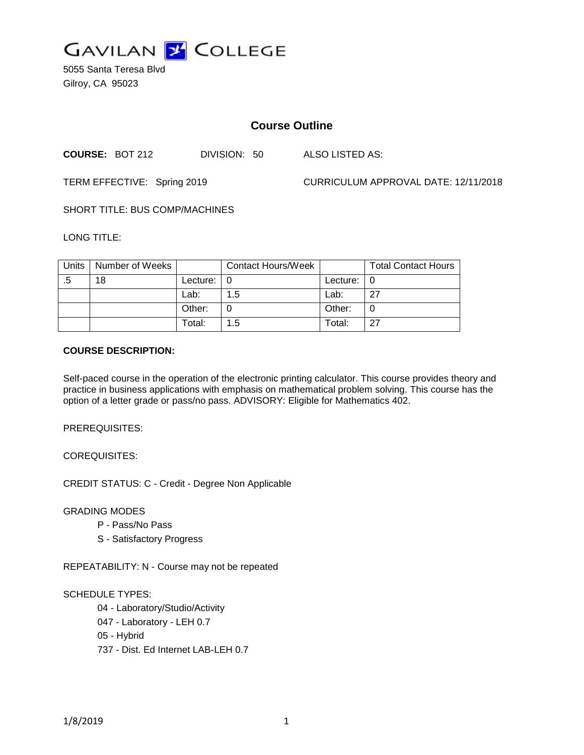

5055 Santa Teresa Blvd Gilroy, CA 95023

# **Course Outline**

**COURSE:** BOT 212 DIVISION: 50 ALSO LISTED AS:

TERM EFFECTIVE: Spring 2019 CURRICULUM APPROVAL DATE: 12/11/2018

SHORT TITLE: BUS COMP/MACHINES

LONG TITLE:

| Units | Number of Weeks |          | Contact Hours/Week |            | <b>Total Contact Hours</b> |
|-------|-----------------|----------|--------------------|------------|----------------------------|
| .5    | 18              | Lecture: |                    | Lecture: I | 0                          |
|       |                 | Lab:     | 1.5                | Lab:       | 27                         |
|       |                 | Other:   |                    | Other:     | 0                          |
|       |                 | Total:   | 1.5                | Total:     | 27                         |

### **COURSE DESCRIPTION:**

Self-paced course in the operation of the electronic printing calculator. This course provides theory and practice in business applications with emphasis on mathematical problem solving. This course has the option of a letter grade or pass/no pass. ADVISORY: Eligible for Mathematics 402.

PREREQUISITES:

COREQUISITES:

CREDIT STATUS: C - Credit - Degree Non Applicable

GRADING MODES

- P Pass/No Pass
- S Satisfactory Progress

REPEATABILITY: N - Course may not be repeated

### SCHEDULE TYPES:

04 - Laboratory/Studio/Activity

047 - Laboratory - LEH 0.7

05 - Hybrid

737 - Dist. Ed Internet LAB-LEH 0.7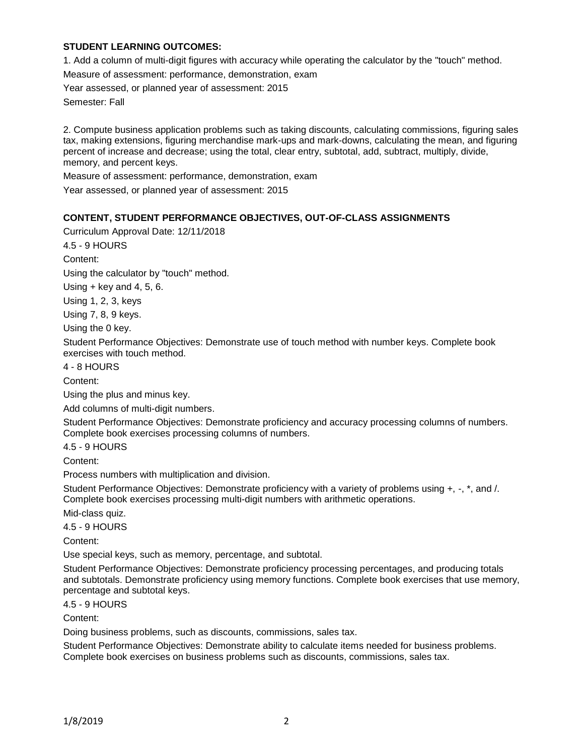### **STUDENT LEARNING OUTCOMES:**

1. Add a column of multi-digit figures with accuracy while operating the calculator by the "touch" method.

Measure of assessment: performance, demonstration, exam

Year assessed, or planned year of assessment: 2015

Semester: Fall

2. Compute business application problems such as taking discounts, calculating commissions, figuring sales tax, making extensions, figuring merchandise mark-ups and mark-downs, calculating the mean, and figuring percent of increase and decrease; using the total, clear entry, subtotal, add, subtract, multiply, divide, memory, and percent keys.

Measure of assessment: performance, demonstration, exam

Year assessed, or planned year of assessment: 2015

### **CONTENT, STUDENT PERFORMANCE OBJECTIVES, OUT-OF-CLASS ASSIGNMENTS**

Curriculum Approval Date: 12/11/2018

4.5 - 9 HOURS

Content:

Using the calculator by "touch" method.

Using  $+$  key and 4, 5, 6.

Using 1, 2, 3, keys

Using 7, 8, 9 keys.

Using the 0 key.

Student Performance Objectives: Demonstrate use of touch method with number keys. Complete book exercises with touch method.

4 - 8 HOURS

Content:

Using the plus and minus key.

Add columns of multi-digit numbers.

Student Performance Objectives: Demonstrate proficiency and accuracy processing columns of numbers. Complete book exercises processing columns of numbers.

4.5 - 9 HOURS

Content:

Process numbers with multiplication and division.

Student Performance Objectives: Demonstrate proficiency with a variety of problems using +, -, \*, and /. Complete book exercises processing multi-digit numbers with arithmetic operations.

Mid-class quiz.

4.5 - 9 HOURS

Content:

Use special keys, such as memory, percentage, and subtotal.

Student Performance Objectives: Demonstrate proficiency processing percentages, and producing totals and subtotals. Demonstrate proficiency using memory functions. Complete book exercises that use memory, percentage and subtotal keys.

4.5 - 9 HOURS

Content:

Doing business problems, such as discounts, commissions, sales tax.

Student Performance Objectives: Demonstrate ability to calculate items needed for business problems. Complete book exercises on business problems such as discounts, commissions, sales tax.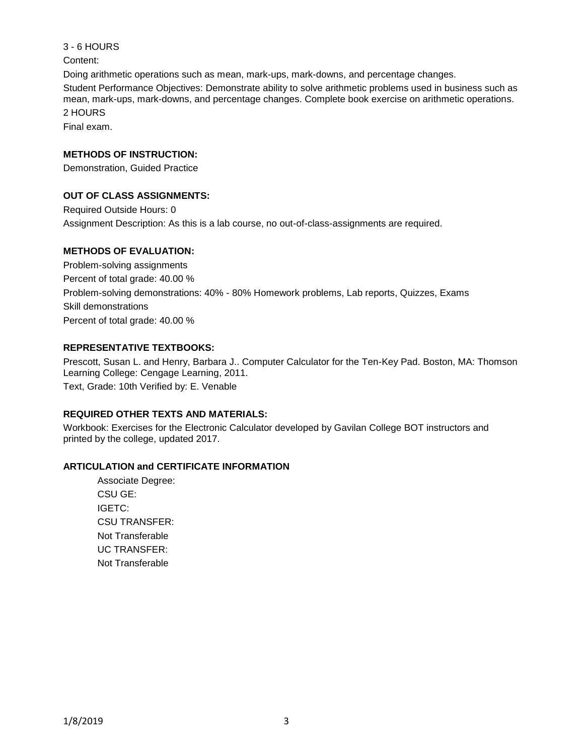Content: Doing arithmetic operations such as mean, mark-ups, mark-downs, and percentage changes. Student Performance Objectives: Demonstrate ability to solve arithmetic problems used in business such as mean, mark-ups, mark-downs, and percentage changes. Complete book exercise on arithmetic operations. 2 HOURS Final exam.

**METHODS OF INSTRUCTION:**

3 - 6 HOURS

Demonstration, Guided Practice

### **OUT OF CLASS ASSIGNMENTS:**

Required Outside Hours: 0 Assignment Description: As this is a lab course, no out-of-class-assignments are required.

## **METHODS OF EVALUATION:**

Problem-solving assignments Percent of total grade: 40.00 % Problem-solving demonstrations: 40% - 80% Homework problems, Lab reports, Quizzes, Exams Skill demonstrations Percent of total grade: 40.00 %

### **REPRESENTATIVE TEXTBOOKS:**

Prescott, Susan L. and Henry, Barbara J.. Computer Calculator for the Ten-Key Pad. Boston, MA: Thomson Learning College: Cengage Learning, 2011. Text, Grade: 10th Verified by: E. Venable

### **REQUIRED OTHER TEXTS AND MATERIALS:**

Workbook: Exercises for the Electronic Calculator developed by Gavilan College BOT instructors and printed by the college, updated 2017.

### **ARTICULATION and CERTIFICATE INFORMATION**

Associate Degree: CSU GE: IGETC: CSU TRANSFER: Not Transferable UC TRANSFER: Not Transferable